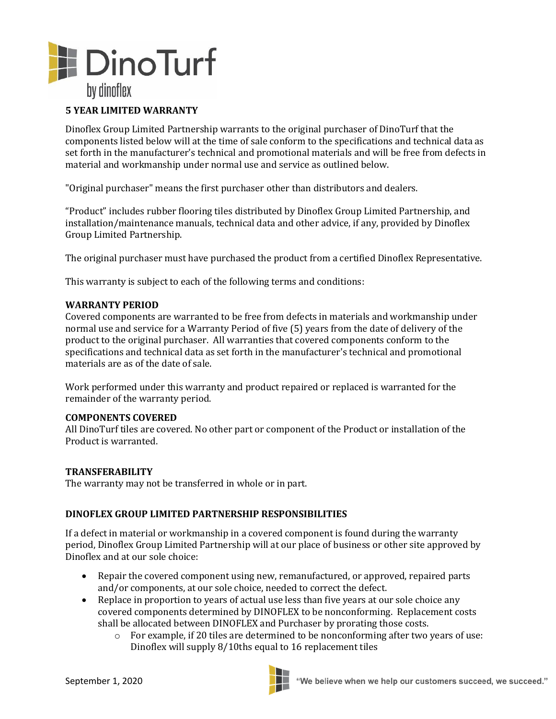

## **5 YEAR LIMITED WARRANTY**

Dinoflex Group Limited Partnership warrants to the original purchaser of DinoTurf that the components listed below will at the time of sale conform to the specifications and technical data as set forth in the manufacturer's technical and promotional materials and will be free from defects in material and workmanship under normal use and service as outlined below.

"Original purchaser" means the first purchaser other than distributors and dealers.

"Product" includes rubber flooring tiles distributed by Dinoflex Group Limited Partnership, and installation/maintenance manuals, technical data and other advice, if any, provided by Dinoflex Group Limited Partnership.

The original purchaser must have purchased the product from a certified Dinoflex Representative.

This warranty is subject to each of the following terms and conditions:

### **WARRANTY PERIOD**

Covered components are warranted to be free from defects in materials and workmanship under normal use and service for a Warranty Period of five (5) years from the date of delivery of the product to the original purchaser. All warranties that covered components conform to the specifications and technical data as set forth in the manufacturer's technical and promotional materials are as of the date of sale.

Work performed under this warranty and product repaired or replaced is warranted for the remainder of the warranty period.

### **COMPONENTS COVERED**

All DinoTurf tiles are covered. No other part or component of the Product or installation of the Product is warranted.

### **TRANSFERABILITY**

The warranty may not be transferred in whole or in part.

### **DINOFLEX GROUP LIMITED PARTNERSHIP RESPONSIBILITIES**

If a defect in material or workmanship in a covered component is found during the warranty period, Dinoflex Group Limited Partnership will at our place of business or other site approved by Dinoflex and at our sole choice:

- Repair the covered component using new, remanufactured, or approved, repaired parts and/or components, at our sole choice, needed to correct the defect.
- Replace in proportion to years of actual use less than five years at our sole choice any covered components determined by DINOFLEX to be nonconforming. Replacement costs shall be allocated between DINOFLEX and Purchaser by prorating those costs.
	- $\circ$  For example, if 20 tiles are determined to be nonconforming after two years of use: Dinoflex will supply 8/10ths equal to 16 replacement tiles

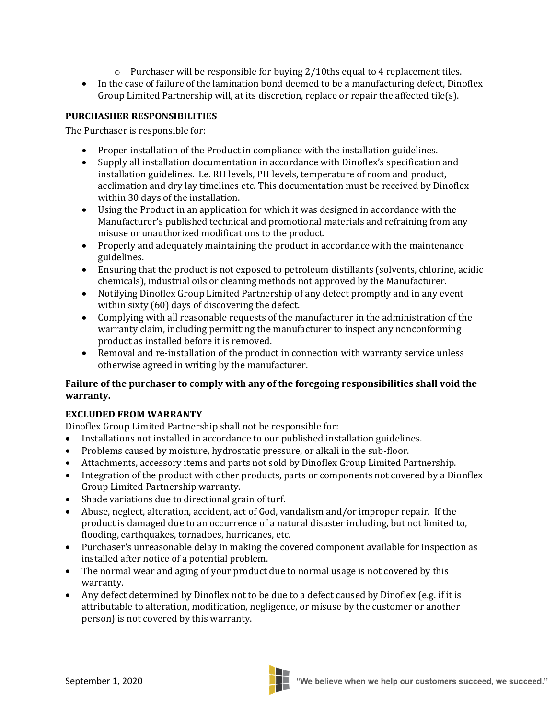- $\circ$  Purchaser will be responsible for buying 2/10ths equal to 4 replacement tiles.
- In the case of failure of the lamination bond deemed to be a manufacturing defect, Dinoflex Group Limited Partnership will, at its discretion, replace or repair the affected tile(s).

## **PURCHASHER RESPONSIBILITIES**

The Purchaser is responsible for:

- Proper installation of the Product in compliance with the installation guidelines.
- Supply all installation documentation in accordance with Dinoflex's specification and installation guidelines. I.e. RH levels, PH levels, temperature of room and product, acclimation and dry lay timelines etc. This documentation must be received by Dinoflex within 30 days of the installation.
- Using the Product in an application for which it was designed in accordance with the Manufacturer's published technical and promotional materials and refraining from any misuse or unauthorized modifications to the product.
- Properly and adequately maintaining the product in accordance with the maintenance guidelines.
- Ensuring that the product is not exposed to petroleum distillants (solvents, chlorine, acidic chemicals), industrial oils or cleaning methods not approved by the Manufacturer.
- Notifying Dinoflex Group Limited Partnership of any defect promptly and in any event within sixty (60) days of discovering the defect.
- Complying with all reasonable requests of the manufacturer in the administration of the warranty claim, including permitting the manufacturer to inspect any nonconforming product as installed before it is removed.
- Removal and re-installation of the product in connection with warranty service unless otherwise agreed in writing by the manufacturer.

## **Failure of the purchaser to comply with any of the foregoing responsibilities shall void the warranty.**

# **EXCLUDED FROM WARRANTY**

Dinoflex Group Limited Partnership shall not be responsible for:

- Installations not installed in accordance to our published installation guidelines.
- Problems caused by moisture, hydrostatic pressure, or alkali in the sub-floor.
- Attachments, accessory items and parts not sold by Dinoflex Group Limited Partnership.
- Integration of the product with other products, parts or components not covered by a Dionflex Group Limited Partnership warranty.
- Shade variations due to directional grain of turf.
- Abuse, neglect, alteration, accident, act of God, vandalism and/or improper repair. If the product is damaged due to an occurrence of a natural disaster including, but not limited to, flooding, earthquakes, tornadoes, hurricanes, etc.
- Purchaser's unreasonable delay in making the covered component available for inspection as installed after notice of a potential problem.
- The normal wear and aging of your product due to normal usage is not covered by this warranty.
- Any defect determined by Dinoflex not to be due to a defect caused by Dinoflex (e.g. if it is attributable to alteration, modification, negligence, or misuse by the customer or another person) is not covered by this warranty.

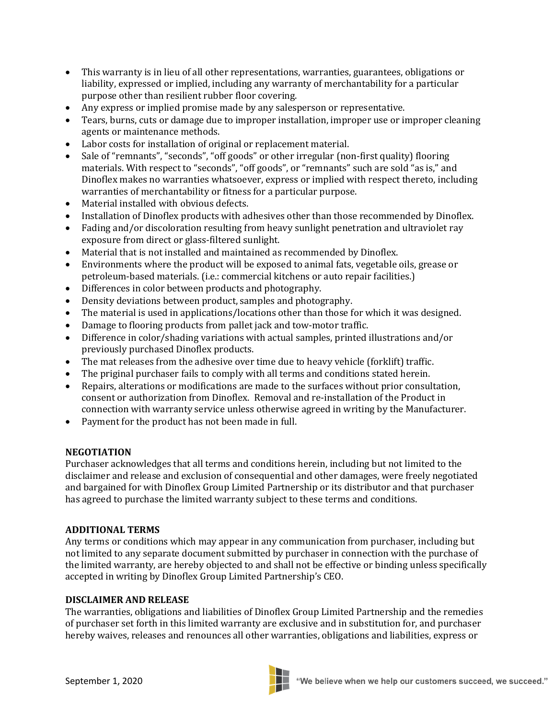- This warranty is in lieu of all other representations, warranties, guarantees, obligations or liability, expressed or implied, including any warranty of merchantability for a particular purpose other than resilient rubber floor covering.
- Any express or implied promise made by any salesperson or representative.
- Tears, burns, cuts or damage due to improper installation, improper use or improper cleaning agents or maintenance methods.
- Labor costs for installation of original or replacement material.
- Sale of "remnants", "seconds", "off goods" or other irregular (non-first quality) flooring materials. With respect to "seconds", "off goods", or "remnants" such are sold "as is," and Dinoflex makes no warranties whatsoever, express or implied with respect thereto, including warranties of merchantability or fitness for a particular purpose.
- Material installed with obvious defects.
- Installation of Dinoflex products with adhesives other than those recommended by Dinoflex.
- Fading and/or discoloration resulting from heavy sunlight penetration and ultraviolet ray exposure from direct or glass-filtered sunlight.
- Material that is not installed and maintained as recommended by Dinoflex.
- Environments where the product will be exposed to animal fats, vegetable oils, grease or petroleum-based materials. (i.e.: commercial kitchens or auto repair facilities.)
- Differences in color between products and photography.
- Density deviations between product, samples and photography.
- The material is used in applications/locations other than those for which it was designed.
- Damage to flooring products from pallet jack and tow-motor traffic.
- Difference in color/shading variations with actual samples, printed illustrations and/or previously purchased Dinoflex products.
- The mat releases from the adhesive over time due to heavy vehicle (forklift) traffic.
- The priginal purchaser fails to comply with all terms and conditions stated herein.
- Repairs, alterations or modifications are made to the surfaces without prior consultation, consent or authorization from Dinoflex. Removal and re-installation of the Product in connection with warranty service unless otherwise agreed in writing by the Manufacturer.
- Payment for the product has not been made in full.

### **NEGOTIATION**

Purchaser acknowledges that all terms and conditions herein, including but not limited to the disclaimer and release and exclusion of consequential and other damages, were freely negotiated and bargained for with Dinoflex Group Limited Partnership or its distributor and that purchaser has agreed to purchase the limited warranty subject to these terms and conditions.

### **ADDITIONAL TERMS**

Any terms or conditions which may appear in any communication from purchaser, including but not limited to any separate document submitted by purchaser in connection with the purchase of the limited warranty, are hereby objected to and shall not be effective or binding unless specifically accepted in writing by Dinoflex Group Limited Partnership's CEO.

### **DISCLAIMER AND RELEASE**

The warranties, obligations and liabilities of Dinoflex Group Limited Partnership and the remedies of purchaser set forth in this limited warranty are exclusive and in substitution for, and purchaser hereby waives, releases and renounces all other warranties, obligations and liabilities, express or